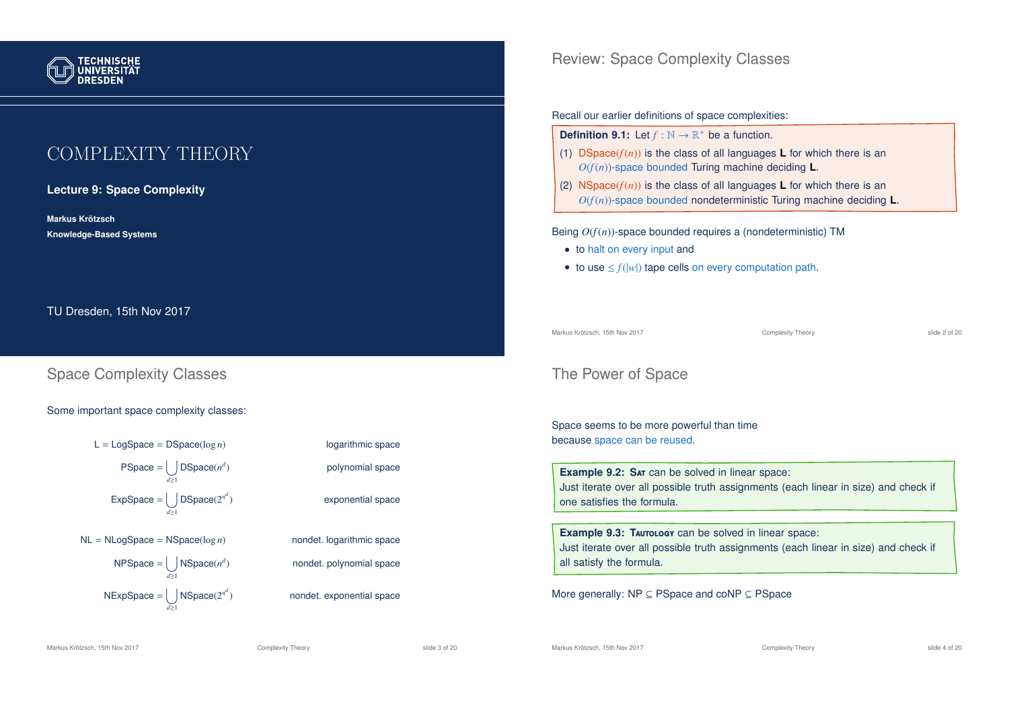

# COMPLEXITY THEORY

#### **Lecture 9: Space Complexity**

**Markus Krotzsch ¨ Knowledge-Based Systems**

TU Dresden, 15th Nov 2017

# Space Complexity Classes

#### Some important space complexity classes:



) polynomial space exponential space ) nondet. polynomial space

) nondet. exponential space

### Review: Space Complexity Classes

#### Recall our earlier definitions of space complexities:

| <b>Definition 9.1:</b> Let $f : \mathbb{N} \to \mathbb{R}^+$ be a function. |  |  |
|-----------------------------------------------------------------------------|--|--|
|-----------------------------------------------------------------------------|--|--|

- (1) DSpace( $f(n)$ ) is the class of all languages **L** for which there is an *O*(*f*(*n*))-space bounded Turing machine deciding **L**.
- (2) NSpace( $f(n)$ ) is the class of all languages **L** for which there is an *O*(*f*(*n*))-space bounded nondeterministic Turing machine deciding **L**.

#### Being *O*(*f*(*n*))-space bounded requires a (nondeterministic) TM

- to halt on every input and
- to use  $\leq f(|w|)$  tape cells on every computation path.

Markus Krötzsch, 15th Nov 2017 Complexity Theory slide 2 of 20

### The Power of Space

Space seems to be more powerful than time because space can be reused.

**Example 9.2: SAT** can be solved in linear space: Just iterate over all possible truth assignments (each linear in size) and check if one satisfies the formula.

**Example 9.3: TAUTOLOGY** can be solved in linear space: Just iterate over all possible truth assignments (each linear in size) and check if all satisfy the formula.

More generally: NP ⊆ PSpace and coNP ⊆ PSpace

Markus Krötzsch, 15th Nov 2017 **Complexity Theory** Complexity Theory slide 3 of 20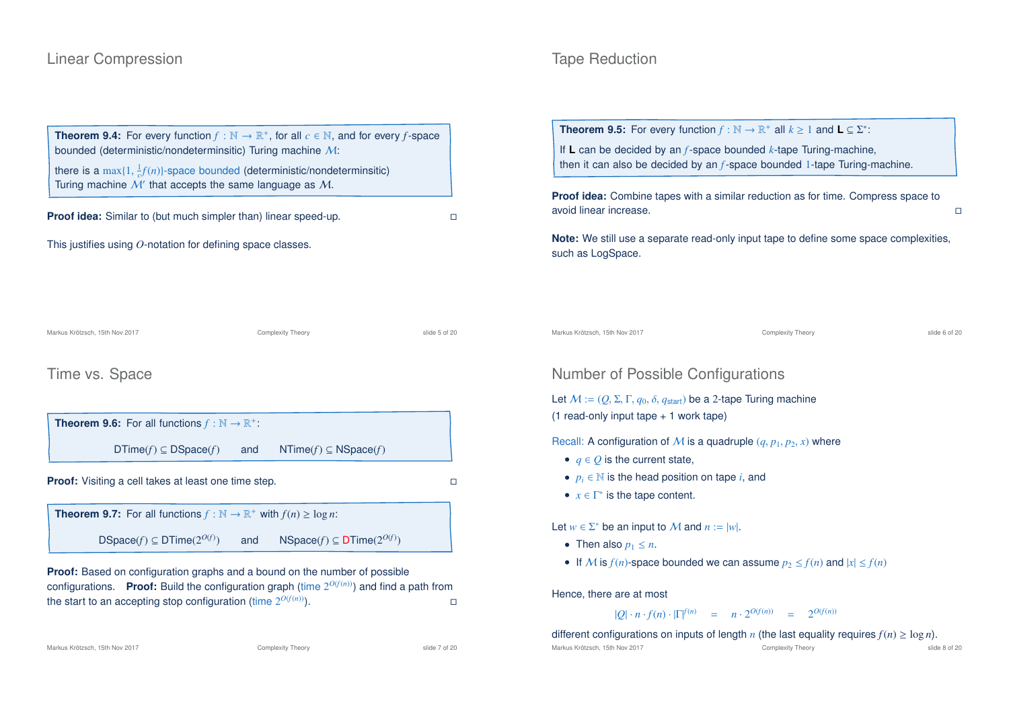### Linear Compression

# **Theorem 9.4:** For every function  $f : \mathbb{N} \to \mathbb{R}^+$ , for all  $c \in \mathbb{N}$ , and for every  $f$ -space bounded (deterministic/nondeterminsitic) Turing machine M: there is a  $\max\{1, \frac{1}{c}f(n)\}$ -space bounded (deterministic/nondeterminsitic) Turing machine  $M'$  that accepts the same language as  $M$ . **Proof idea:** Similar to (but much simpler than) linear speed-up.

This justifies using *O*-notation for defining space classes.

Markus Krötzsch, 15th Nov 2017 **Complexity Theory** Complexity Theory slide 5 of 20

#### Time vs. Space



**Theorem 9.7:** For all functions  $f : \mathbb{N} \to \mathbb{R}^+$  with  $f(n) \ge \log n$ : DSpace( $f$ )  $\subset$  DTime( $2^{O(f)}$ ) ) and NSpace(*f*) ⊆ DTime(2<sup>*O*(*f*)</sup>)

**Proof:** Based on configuration graphs and a bound on the number of possible configurations. **Proof:** Build the configuration graph (time  $2^{O(f(n))}$ ) and find a path from the start to an accepting stop configuration (time  $2^{O(f(n))}$ ).

### Tape Reduction

**Theorem 9.5:** For every function  $f : \mathbb{N} \to \mathbb{R}^+$  all  $k \ge 1$  and  $\mathsf{L} \subseteq \Sigma^*$ :

If **L** can be decided by an *f*-space bounded *k*-tape Turing-machine, then it can also be decided by an *f*-space bounded 1-tape Turing-machine.

**Proof idea:** Combine tapes with a similar reduction as for time. Compress space to avoid linear increase.

**Note:** We still use a separate read-only input tape to define some space complexities, such as LogSpace.

Markus Krötzsch, 15th Nov 2017 Complexity Theory slide 6 of 20

# Number of Possible Configurations

Let  $M := (Q, \Sigma, \Gamma, q_0, \delta, q_{start})$  be a 2-tape Turing machine (1 read-only input tape + 1 work tape)

Recall: A configuration of M is a quadruple  $(q, p_1, p_2, x)$  where

- $q \in Q$  is the current state,
- $p_i \in \mathbb{N}$  is the head position on tape *i*, and
- $x \in \Gamma^*$  is the tape content.

Let  $w \in \Sigma^*$  be an input to M and  $n := |w|$ .

- Then also  $p_1 \leq n$ .
- If M is  $f(n)$ -space bounded we can assume  $p_2 \le f(n)$  and  $|x| \le f(n)$

Hence, there are at most

 $|Q| \cdot n \cdot f(n) \cdot |\Gamma|^{f(n)} = n \cdot 2^{O(f(n))} = 2^{O(f(n))}$ 

different configurations on inputs of length *n* (the last equality requires  $f(n) \ge \log n$ ).

Markus Krötzsch, 15th Nov 2017 **Complexity Theory** Complexity Theory slide 8 of 20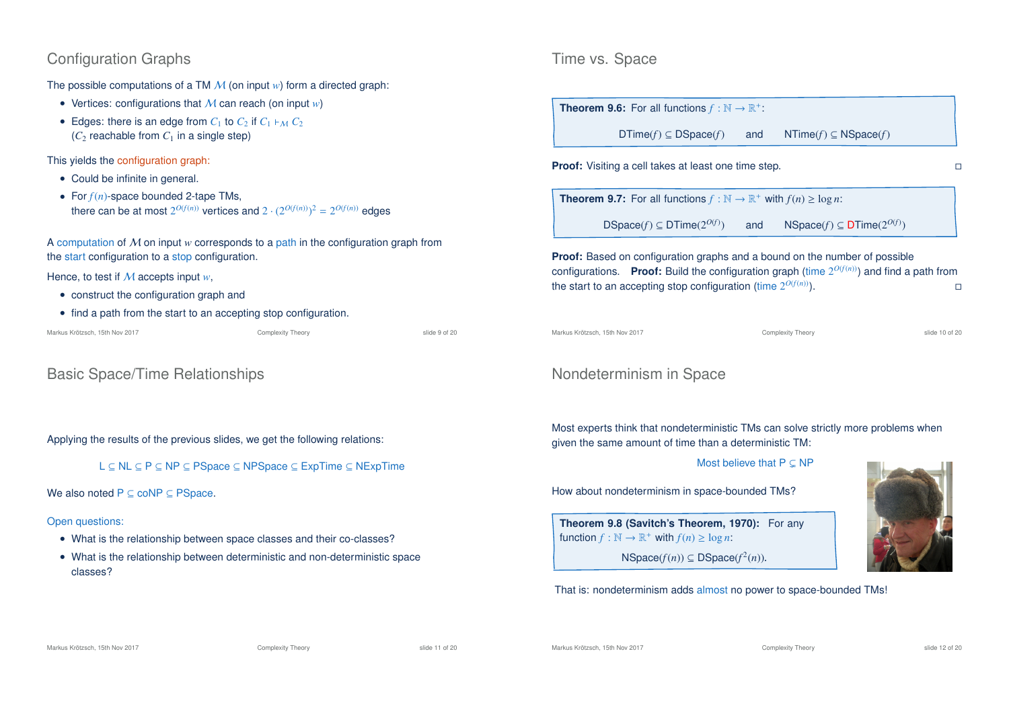# Configuration Graphs

The possible computations of a TM M (on input *w*) form a directed graph:

- Vertices: configurations that M can reach (on input *w*)
- Edges: there is an edge from  $C_1$  to  $C_2$  if  $C_1 \vdash_M C_2$  $(C_2$  reachable from  $C_1$  in a single step)

This yields the configuration graph:

- Could be infinite in general.
- For *f*(*n*)-space bounded 2-tape TMs, there can be at most  $2^{O(f(n))}$  vertices and  $2 \cdot (2^{O(f(n))})^2 = 2^{O(f(n))}$  edges

A computation of M on input *w* corresponds to a path in the configuration graph from the start configuration to a stop configuration.

#### Hence, to test if M accepts input *w*,

- construct the configuration graph and
- find a path from the start to an accepting stop configuration.

| Markus Krötzsch, 15th Nov 2017 |  |  |  |  |
|--------------------------------|--|--|--|--|
|--------------------------------|--|--|--|--|

Complexity Theory **Complexity Theory** Slide 9 of 20

# Basic Space/Time Relationships

Applying the results of the previous slides, we get the following relations:

L ⊆ NL ⊆ P ⊆ NP ⊆ PSpace ⊆ NPSpace ⊆ ExpTime ⊆ NExpTime

We also noted  $P \subseteq \text{coNP} \subseteq \text{PSpace}$ .

#### Open questions:

- What is the relationship between space classes and their co-classes?
- What is the relationship between deterministic and non-deterministic space classes?

### Time vs. Space

**Theorem 9.6:** For all functions  $f : \mathbb{N} \to \mathbb{R}^+$ :

 $DTime(f) \subseteq DSpace(f)$  and  $NTime(f) \subseteq NSpace(f)$ 

**Proof:** Visiting a cell takes at least one time step.

**Theorem 9.7:** For all functions  $f : \mathbb{N} \to \mathbb{R}^+$  with  $f(n) \ge \log n$ :

DSpace( $f$ )  $\subset$  DTime( $2^{O(f)}$ ) ) and NSpace(*f*) ⊆ DTime(2<sup>*O*(*f*)</sup>)

**Proof:** Based on configuration graphs and a bound on the number of possible configurations. Proof: Build the configuration graph (time  $2^{O(f(n))}$ ) and find a path from the start to an accepting stop configuration (time  $2^{O(f(n))}$ ).

Markus Krötzsch, 15th Nov 2017 Complexity Theory slide 10 of 20

# Nondeterminism in Space

Most experts think that nondeterministic TMs can solve strictly more problems when given the same amount of time than a deterministic TM:

Most believe that  $P \subset NP$ 

How about nondeterminism in space-bounded TMs?

**Theorem 9.8 (Savitch's Theorem, 1970):** For any function  $f : \mathbb{N} \to \mathbb{R}^+$  with  $f(n) \ge \log n$ :

 $NSpace(f(n)) \subseteq DSpace(f^2(n)).$ 

#### That is: nondeterminism adds almost no power to space-bounded TMs!

Markus Krötzsch, 15th Nov 2017 **Complexity Theory** Complexity Theory slide 11 of 20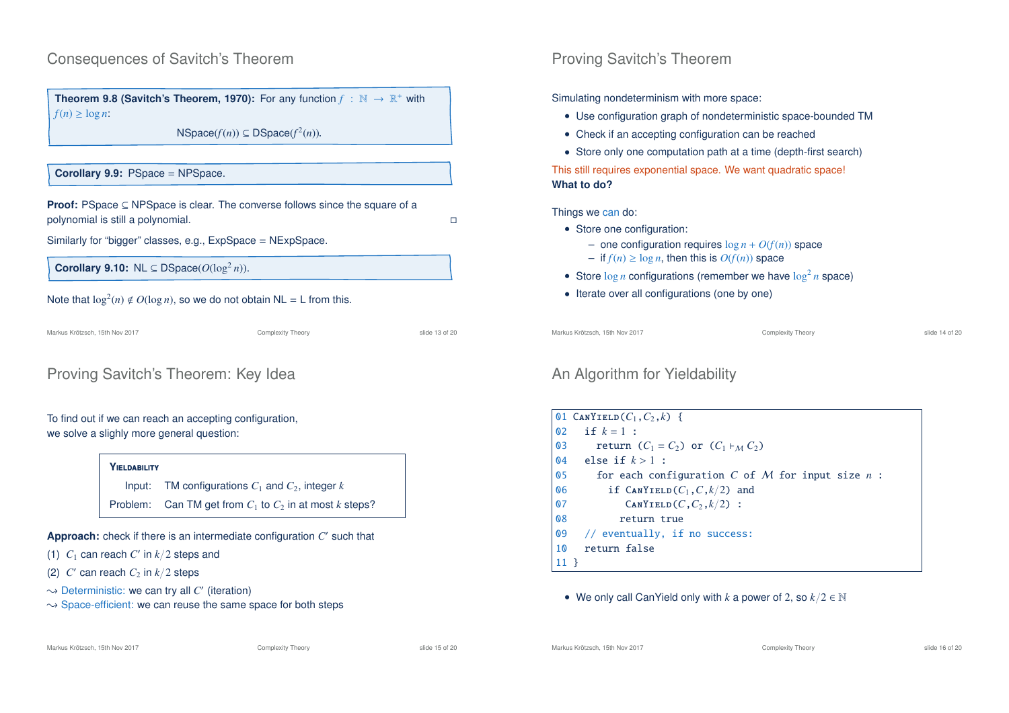### Consequences of Savitch's Theorem

**Theorem 9.8 (Savitch's Theorem, 1970):** For any function  $f : \mathbb{N} \to \mathbb{R}^+$  with  $f(n) > log n$ 

 $NSpace(f(n)) \subseteq DSpace(f^2(n)).$ 

#### **Corollary 9.9:** PSpace = NPSpace.

**Proof:** PSpace ⊆ NPSpace is clear. The converse follows since the square of a polynomial is still a polynomial.

Similarly for "bigger" classes, e.g., ExpSpace = NExpSpace.

**Corollary 9.10:** NL  $\subseteq$  DSpace( $O(\log^2 n)$ ).

#### Note that  $\log^2(n) \notin O(\log n)$ , so we do not obtain NL = L from this.

Markus Krötzsch, 15th Nov 2017 Complexity Theory slide 13 of 20

# Proving Savitch's Theorem: Key Idea

#### To find out if we can reach an accepting configuration, we solve a slighly more general question:

#### **Y**ieldability

Input: TM configurations  $C_1$  and  $C_2$ , integer  $k$ 

Problem: Can TM get from  $C_1$  to  $C_2$  in at most  $k$  steps?

**Approach:** check if there is an intermediate configuration C' such that

- (1)  $C_1$  can reach  $C'$  in  $k/2$  steps and
- (2)  $C'$  can reach  $C_2$  in  $k/2$  steps
- $\rightsquigarrow$  Deterministic: we can try all  $C'$  (iteration)
- $\rightarrow$  Space-efficient: we can reuse the same space for both steps

# Proving Savitch's Theorem

Simulating nondeterminism with more space:

- Use configuration graph of nondeterministic space-bounded TM
- Check if an accepting configuration can be reached
- Store only one computation path at a time (depth-first search)

This still requires exponential space. We want quadratic space! **What to do?**

#### Things we can do:

- Store one configuration:
	- one configuration requires  $\log n + O(f(n))$  space
	- $−$  if *f*(*n*) ≥ log *n*, then this is  $O(f(n))$  space
- Store  $\log n$  configurations (remember we have  $\log^2 n$  space)
- Iterate over all configurations (one by one)

Markus Krötzsch, 15th Nov 2017 Complexity Theory slide 14 of 20

# An Algorithm for Yieldability

|                 | 01 CANYIELD $(C_1, C_2, k)$ {                      |
|-----------------|----------------------------------------------------|
|                 | 02 if $k = 1$ :                                    |
| $\mathbf{0}$ 3  | return $(C_1 = C_2)$ or $(C_1 \rhd_M C_2)$         |
| 04              | else if $k>1$ :                                    |
| 05              | for each configuration C of M for input size $n$ : |
| 06              | if $\text{CANYIELD}(C_1, C, k/2)$ and              |
| 07              | CANYIELD $(C, C_2, k/2)$ :                         |
| 80              | return true                                        |
|                 | 09 // eventually, if no success:                   |
| 10              | return false                                       |
| 11 <sup>3</sup> |                                                    |

#### • We only call CanYield only with *k* a power of 2, so *k*/2 ∈ N